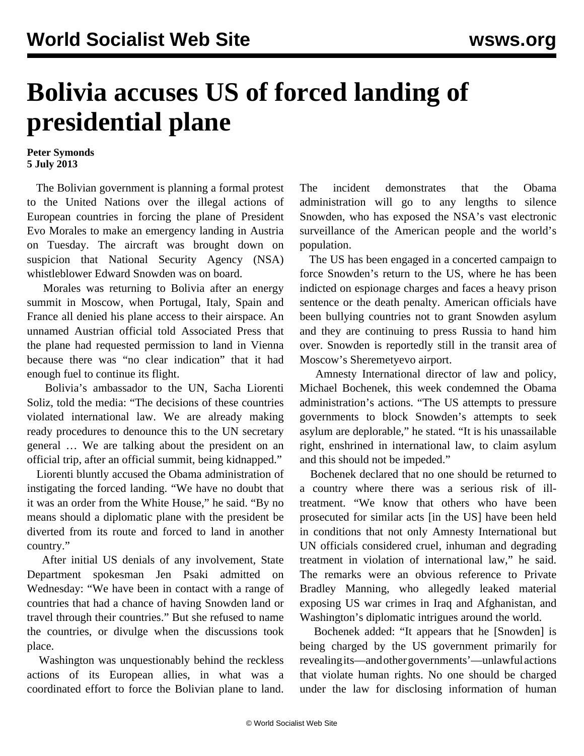## **Bolivia accuses US of forced landing of presidential plane**

## **Peter Symonds 5 July 2013**

 The Bolivian government is planning a formal protest to the United Nations over the illegal actions of European countries in forcing the plane of President Evo Morales to make an emergency landing in Austria on Tuesday. The aircraft was brought down on suspicion that National Security Agency (NSA) whistleblower Edward Snowden was on board.

 Morales was returning to Bolivia after an energy summit in Moscow, when Portugal, Italy, Spain and France all denied his plane access to their airspace. An unnamed Austrian official told Associated Press that the plane had requested permission to land in Vienna because there was "no clear indication" that it had enough fuel to continue its flight.

 Bolivia's ambassador to the UN, Sacha Liorenti Soliz, told the media: "The decisions of these countries violated international law. We are already making ready procedures to denounce this to the UN secretary general … We are talking about the president on an official trip, after an official summit, being kidnapped."

 Liorenti bluntly accused the Obama administration of instigating the forced landing. "We have no doubt that it was an order from the White House," he said. "By no means should a diplomatic plane with the president be diverted from its route and forced to land in another country."

 After initial US denials of any involvement, State Department spokesman Jen Psaki admitted on Wednesday: "We have been in contact with a range of countries that had a chance of having Snowden land or travel through their countries." But she refused to name the countries, or divulge when the discussions took place.

 Washington was unquestionably behind the reckless actions of its European allies, in what was a coordinated effort to force the Bolivian plane to land. The incident demonstrates that the Obama administration will go to any lengths to silence Snowden, who has exposed the NSA's vast electronic surveillance of the American people and the world's population.

 The US has been engaged in a concerted campaign to force Snowden's return to the US, where he has been indicted on espionage charges and faces a heavy prison sentence or the death penalty. American officials have been bullying countries not to grant Snowden asylum and they are continuing to press Russia to hand him over. Snowden is reportedly still in the transit area of Moscow's Sheremetyevo airport.

 Amnesty International director of law and policy, Michael Bochenek, this week condemned the Obama administration's actions. "The US attempts to pressure governments to block Snowden's attempts to seek asylum are deplorable," he stated. "It is his unassailable right, enshrined in international law, to claim asylum and this should not be impeded."

 Bochenek declared that no one should be returned to a country where there was a serious risk of illtreatment. "We know that others who have been prosecuted for similar acts [in the US] have been held in conditions that not only Amnesty International but UN officials considered cruel, inhuman and degrading treatment in violation of international law," he said. The remarks were an obvious reference to Private Bradley Manning, who allegedly leaked material exposing US war crimes in Iraq and Afghanistan, and Washington's diplomatic intrigues around the world.

 Bochenek added: "It appears that he [Snowden] is being charged by the US government primarily for revealing its—and other governments'—unlawful actions that violate human rights. No one should be charged under the law for disclosing information of human